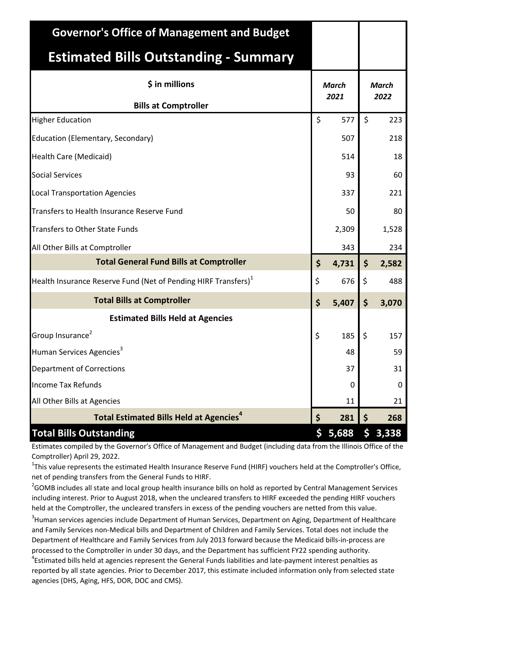| <b>Governor's Office of Management and Budget</b>                    |             |       |                     |  |  |
|----------------------------------------------------------------------|-------------|-------|---------------------|--|--|
| <b>Estimated Bills Outstanding - Summary</b>                         |             |       |                     |  |  |
| \$ in millions                                                       | March       | March |                     |  |  |
| <b>Bills at Comptroller</b>                                          | 2021        | 2022  |                     |  |  |
| <b>Higher Education</b>                                              | \$<br>577   | \$    | 223                 |  |  |
| Education (Elementary, Secondary)                                    | 507         |       | 218                 |  |  |
| <b>Health Care (Medicaid)</b>                                        | 514         |       | 18                  |  |  |
| <b>Social Services</b>                                               | 93          |       | 60                  |  |  |
| <b>Local Transportation Agencies</b>                                 | 337         |       | 221                 |  |  |
| Transfers to Health Insurance Reserve Fund                           | 50          |       | 80                  |  |  |
| Transfers to Other State Funds                                       | 2,309       |       | 1,528               |  |  |
| All Other Bills at Comptroller                                       | 343         |       | 234                 |  |  |
| <b>Total General Fund Bills at Comptroller</b>                       | \$<br>4,731 | \$    | 2,582               |  |  |
| Health Insurance Reserve Fund (Net of Pending HIRF Transfers) $^{1}$ | \$<br>676   | \$    | 488                 |  |  |
| <b>Total Bills at Comptroller</b>                                    | \$<br>5,407 | \$    | 3,070               |  |  |
| <b>Estimated Bills Held at Agencies</b>                              |             |       |                     |  |  |
| Group Insurance <sup>2</sup>                                         | \$<br>185   | \$    | 157                 |  |  |
| Human Services Agencies <sup>3</sup>                                 | 48          |       | 59                  |  |  |
| <b>Department of Corrections</b>                                     | 37          |       | 31                  |  |  |
| <b>Income Tax Refunds</b>                                            | 0           |       | 0                   |  |  |
| All Other Bills at Agencies                                          | 11          |       | 21                  |  |  |
| <b>Total Estimated Bills Held at Agencies<sup>4</sup></b>            | \$<br>281   | \$    | 268                 |  |  |
| <b>Total Bills Outstanding</b>                                       | \$<br>5,688 |       | $5\overline{3,338}$ |  |  |

Estimates compiled by the Governor's Office of Management and Budget (including data from the Illinois Office of the Comptroller) April 29, 2022.

<sup>1</sup>This value represents the estimated Health Insurance Reserve Fund (HIRF) vouchers held at the Comptroller's Office, net of pending transfers from the General Funds to HIRF.

 $^{2}$ GOMB includes all state and local group health insurance bills on hold as reported by Central Management Services including interest. Prior to August 2018, when the uncleared transfers to HIRF exceeded the pending HIRF vouchers held at the Comptroller, the uncleared transfers in excess of the pending vouchers are netted from this value.

<sup>3</sup> Human services agencies include Department of Human Services, Department on Aging, Department of Healthcare and Family Services non-Medical bills and Department of Children and Family Services. Total does not include the Department of Healthcare and Family Services from July 2013 forward because the Medicaid bills-in-process are processed to the Comptroller in under 30 days, and the Department has sufficient FY22 spending authority. <sup>4</sup>Estimated bills held at agencies represent the General Funds liabilities and late-payment interest penalties as reported by all state agencies. Prior to December 2017, this estimate included information only from selected state agencies (DHS, Aging, HFS, DOR, DOC and CMS).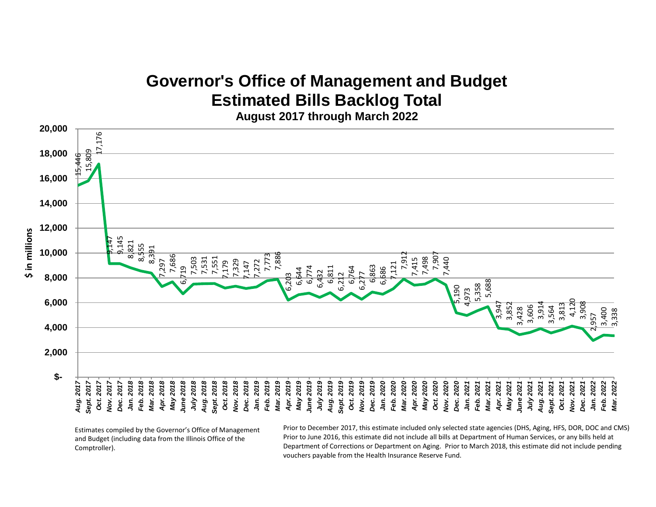## **Governor's Office of Management and Budget Estimated Bills Backlog Total**

**August 2017 through March 2022**



Estimates compiled by the Governor's Office of Management and Budget (including data from the Illinois Office of the Comptroller).

Prior to December 2017, this estimate included only selected state agencies (DHS, Aging, HFS, DOR, DOC and CMS). Prior to June 2016, this estimate did not include all bills at Department of Human Services, or any bills held at Department of Corrections or Department on Aging. Prior to March 2018, this estimate did not include pending vouchers payable from the Health Insurance Reserve Fund.